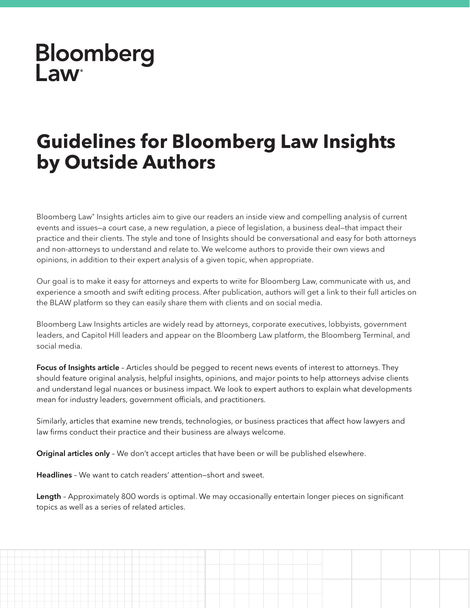## **Bloomberg** Law

## **Guidelines for Bloomberg Law Insights by Outside Authors**

Bloomberg Law® Insights articles aim to give our readers an inside view and compelling analysis of current events and issues—a court case, a new regulation, a piece of legislation, a business deal—that impact their practice and their clients. The style and tone of Insights should be conversational and easy for both attorneys and non-attorneys to understand and relate to. We welcome authors to provide their own views and opinions, in addition to their expert analysis of a given topic, when appropriate.

Our goal is to make it easy for attorneys and experts to write for Bloomberg Law, communicate with us, and experience a smooth and swift editing process. After publication, authors will get a link to their full articles on the BLAW platform so they can easily share them with clients and on social media.

Bloomberg Law Insights articles are widely read by attorneys, corporate executives, lobbyists, government leaders, and Capitol Hill leaders and appear on the Bloomberg Law platform, the Bloomberg Terminal, and social media.

Focus of Insights article - Articles should be pegged to recent news events of interest to attorneys. They should feature original analysis, helpful insights, opinions, and major points to help attorneys advise clients and understand legal nuances or business impact. We look to expert authors to explain what developments mean for industry leaders, government officials, and practitioners.

Similarly, articles that examine new trends, technologies, or business practices that affect how lawyers and law firms conduct their practice and their business are always welcome.

Original articles only - We don't accept articles that have been or will be published elsewhere.

Headlines – We want to catch readers' attention—short and sweet.

Length - Approximately 800 words is optimal. We may occasionally entertain longer pieces on significant topics as well as a series of related articles.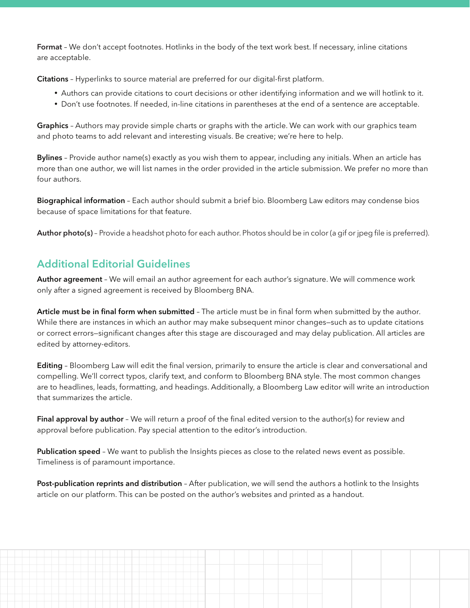Format - We don't accept footnotes. Hotlinks in the body of the text work best. If necessary, inline citations are acceptable.

Citations - Hyperlinks to source material are preferred for our digital-first platform.

- Authors can provide citations to court decisions or other identifying information and we will hotlink to it.
- Don't use footnotes. If needed, in-line citations in parentheses at the end of a sentence are acceptable.

Graphics - Authors may provide simple charts or graphs with the article. We can work with our graphics team and photo teams to add relevant and interesting visuals. Be creative; we're here to help.

**Bylines** – Provide author name(s) exactly as you wish them to appear, including any initials. When an article has more than one author, we will list names in the order provided in the article submission. We prefer no more than four authors.

Biographical information - Each author should submit a brief bio. Bloomberg Law editors may condense bios because of space limitations for that feature.

Author photo(s) - Provide a headshot photo for each author. Photos should be in color (a gif or jpeg file is preferred).

## Additional Editorial Guidelines

Author agreement – We will email an author agreement for each author's signature. We will commence work only after a signed agreement is received by Bloomberg BNA.

Article must be in final form when submitted - The article must be in final form when submitted by the author. While there are instances in which an author may make subsequent minor changes—such as to update citations or correct errors–significant changes after this stage are discouraged and may delay publication. All articles are edited by attorney-editors.

Editing - Bloomberg Law will edit the final version, primarily to ensure the article is clear and conversational and compelling. We'll correct typos, clarify text, and conform to Bloomberg BNA style. The most common changes are to headlines, leads, formatting, and headings. Additionally, a Bloomberg Law editor will write an introduction that summarizes the article.

**Final approval by author** - We will return a proof of the final edited version to the author(s) for review and approval before publication. Pay special attention to the editor's introduction.

Publication speed - We want to publish the Insights pieces as close to the related news event as possible. Timeliness is of paramount importance.

**Post-publication reprints and distribution** – After publication, we will send the authors a hotlink to the Insights article on our platform. This can be posted on the author's websites and printed as a handout.